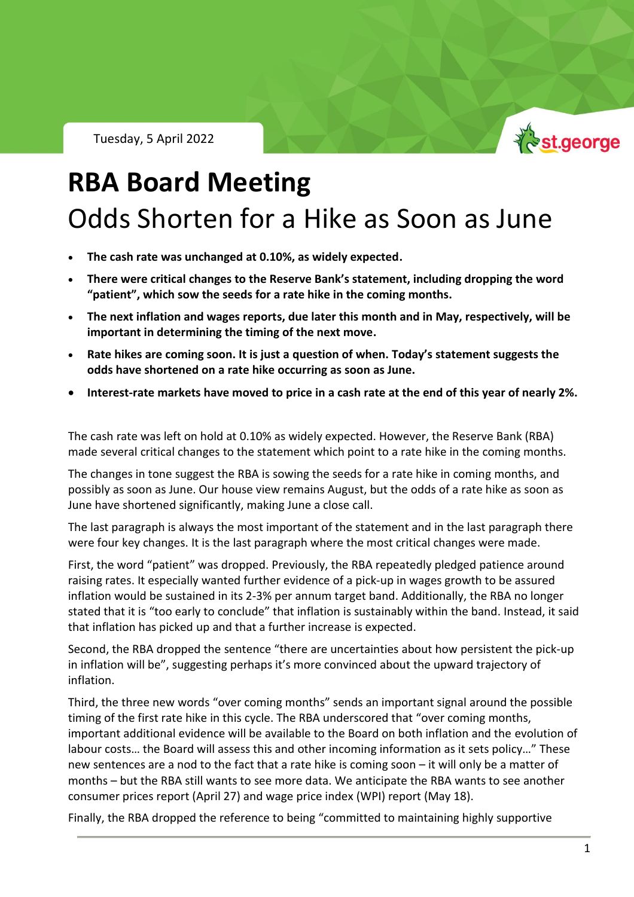Tuesday, 5 April 2022



# **RBA Board Meeting** Odds Shorten for a Hike as Soon as June

- **The cash rate was unchanged at 0.10%, as widely expected.**
- **There were critical changes to the Reserve Bank's statement, including dropping the word "patient", which sow the seeds for a rate hike in the coming months.**
- **The next inflation and wages reports, due later this month and in May, respectively, will be important in determining the timing of the next move.**
- **Rate hikes are coming soon. It is just a question of when. Today's statement suggests the odds have shortened on a rate hike occurring as soon as June.**
- **Interest-rate markets have moved to price in a cash rate at the end of this year of nearly 2%.**

The cash rate was left on hold at 0.10% as widely expected. However, the Reserve Bank (RBA) made several critical changes to the statement which point to a rate hike in the coming months.

The changes in tone suggest the RBA is sowing the seeds for a rate hike in coming months, and possibly as soon as June. Our house view remains August, but the odds of a rate hike as soon as June have shortened significantly, making June a close call.

The last paragraph is always the most important of the statement and in the last paragraph there were four key changes. It is the last paragraph where the most critical changes were made.

First, the word "patient" was dropped. Previously, the RBA repeatedly pledged patience around raising rates. It especially wanted further evidence of a pick-up in wages growth to be assured inflation would be sustained in its 2-3% per annum target band. Additionally, the RBA no longer stated that it is "too early to conclude" that inflation is sustainably within the band. Instead, it said that inflation has picked up and that a further increase is expected.

Second, the RBA dropped the sentence "there are uncertainties about how persistent the pick-up in inflation will be", suggesting perhaps it's more convinced about the upward trajectory of inflation.

Third, the three new words "over coming months" sends an important signal around the possible timing of the first rate hike in this cycle. The RBA underscored that "over coming months, important additional evidence will be available to the Board on both inflation and the evolution of labour costs… the Board will assess this and other incoming information as it sets policy…" These new sentences are a nod to the fact that a rate hike is coming soon – it will only be a matter of months – but the RBA still wants to see more data. We anticipate the RBA wants to see another consumer prices report (April 27) and wage price index (WPI) report (May 18).

Finally, the RBA dropped the reference to being "committed to maintaining highly supportive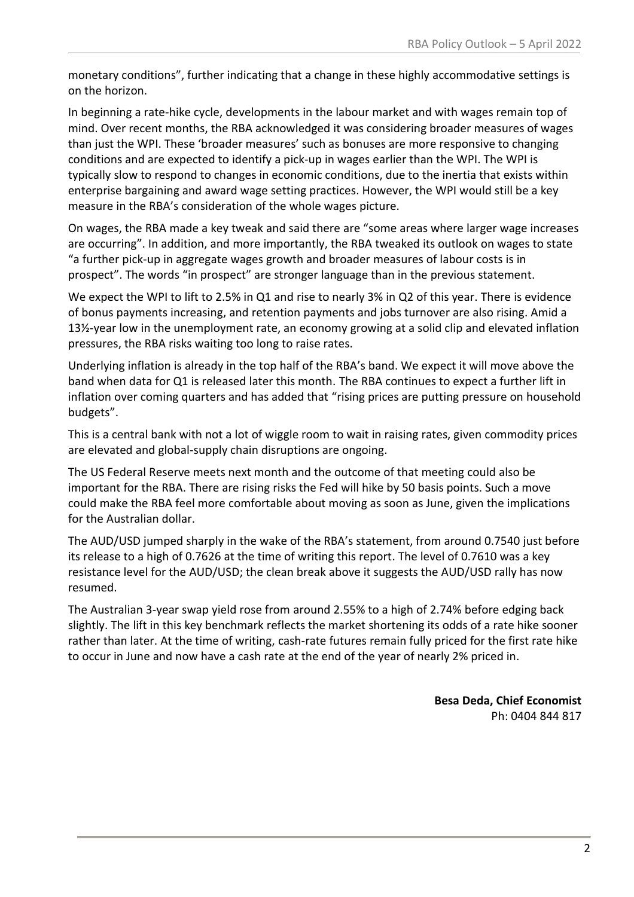monetary conditions", further indicating that a change in these highly accommodative settings is on the horizon.

In beginning a rate-hike cycle, developments in the labour market and with wages remain top of mind. Over recent months, the RBA acknowledged it was considering broader measures of wages than just the WPI. These 'broader measures' such as bonuses are more responsive to changing conditions and are expected to identify a pick-up in wages earlier than the WPI. The WPI is typically slow to respond to changes in economic conditions, due to the inertia that exists within enterprise bargaining and award wage setting practices. However, the WPI would still be a key measure in the RBA's consideration of the whole wages picture.

On wages, the RBA made a key tweak and said there are "some areas where larger wage increases are occurring". In addition, and more importantly, the RBA tweaked its outlook on wages to state "a further pick-up in aggregate wages growth and broader measures of labour costs is in prospect". The words "in prospect" are stronger language than in the previous statement.

We expect the WPI to lift to 2.5% in Q1 and rise to nearly 3% in Q2 of this year. There is evidence of bonus payments increasing, and retention payments and jobs turnover are also rising. Amid a 13½-year low in the unemployment rate, an economy growing at a solid clip and elevated inflation pressures, the RBA risks waiting too long to raise rates.

Underlying inflation is already in the top half of the RBA's band. We expect it will move above the band when data for Q1 is released later this month. The RBA continues to expect a further lift in inflation over coming quarters and has added that "rising prices are putting pressure on household budgets".

This is a central bank with not a lot of wiggle room to wait in raising rates, given commodity prices are elevated and global-supply chain disruptions are ongoing.

The US Federal Reserve meets next month and the outcome of that meeting could also be important for the RBA. There are rising risks the Fed will hike by 50 basis points. Such a move could make the RBA feel more comfortable about moving as soon as June, given the implications for the Australian dollar.

The AUD/USD jumped sharply in the wake of the RBA's statement, from around 0.7540 just before its release to a high of 0.7626 at the time of writing this report. The level of 0.7610 was a key resistance level for the AUD/USD; the clean break above it suggests the AUD/USD rally has now resumed.

The Australian 3-year swap yield rose from around 2.55% to a high of 2.74% before edging back slightly. The lift in this key benchmark reflects the market shortening its odds of a rate hike sooner rather than later. At the time of writing, cash-rate futures remain fully priced for the first rate hike to occur in June and now have a cash rate at the end of the year of nearly 2% priced in.

> **Besa Deda, Chief Economist** Ph: 0404 844 817